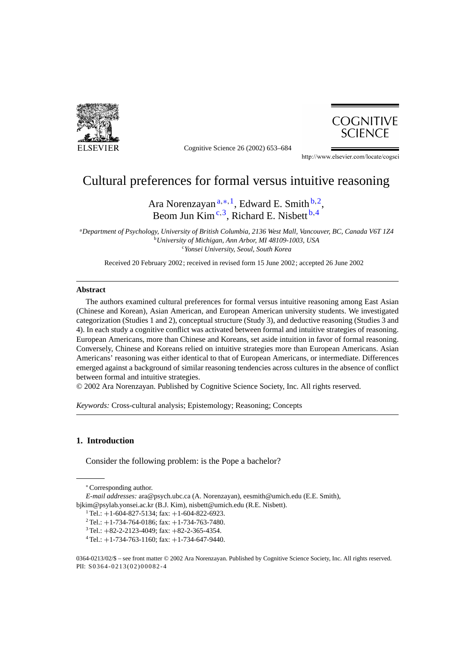

Cognitive Science 26 (2002) 653–684



http://www.elsevier.com/locate/cogsci

# Cultural preferences for formal versus intuitive reasoning

Ara Norenzayan  $a^{k+1}$ , Edward E. Smith  $b^2$ , Beom Jun Kim<sup>c, 3</sup>, Richard E. Nisbett<sup>b, 4</sup>

<sup>a</sup>*Department of Psychology, University of British Columbia, 2136 West Mall, Vancouver, BC, Canada V6T 1Z4* <sup>b</sup>*University of Michigan, Ann Arbor, MI 48109-1003, USA* c *Yonsei University, Seoul, South Korea*

Received 20 February 2002; received in revised form 15 June 2002; accepted 26 June 2002

#### **Abstract**

The authors examined cultural preferences for formal versus intuitive reasoning among East Asian (Chinese and Korean), Asian American, and European American university students. We investigated categorization (Studies 1 and 2), conceptual structure (Study 3), and deductive reasoning (Studies 3 and 4). In each study a cognitive conflict was activated between formal and intuitive strategies of reasoning. European Americans, more than Chinese and Koreans, set aside intuition in favor of formal reasoning. Conversely, Chinese and Koreans relied on intuitive strategies more than European Americans. Asian Americans' reasoning was either identical to that of European Americans, or intermediate. Differences emerged against a background of similar reasoning tendencies across cultures in the absence of conflict between formal and intuitive strategies.

© 2002 Ara Norenzayan. Published by Cognitive Science Society, Inc. All rights reserved.

*Keywords:* Cross-cultural analysis; Epistemology; Reasoning; Concepts

# **1. Introduction**

Consider the following problem: is the Pope a bachelor?

*E-mail addresses:* ara@psych.ubc.ca (A. Norenzayan), eesmith@umich.edu (E.E. Smith),

<sup>∗</sup>Corresponding author.

bjkim@psylab.yonsei.ac.kr (B.J. Kim), nisbett@umich.edu (R.E. Nisbett).

<sup>1</sup> Tel.: +1-604-827-5134; fax: +1-604-822-6923.<br>
2 Tel.: +1-734-764-0186; fax: +1-734-763-7480.<br>
3 Tel.: +82-2-2123-4049; fax: +82-2-365-4354.<br>
4 Tel.: +1-734-763-1160; fax: +1-734-647-9440.

<sup>0364-0213/02/\$ –</sup> see front matter © 2002 Ara Norenzayan. Published by Cognitive Science Society, Inc. All rights reserved. PII: S0364-0213(02)00082-4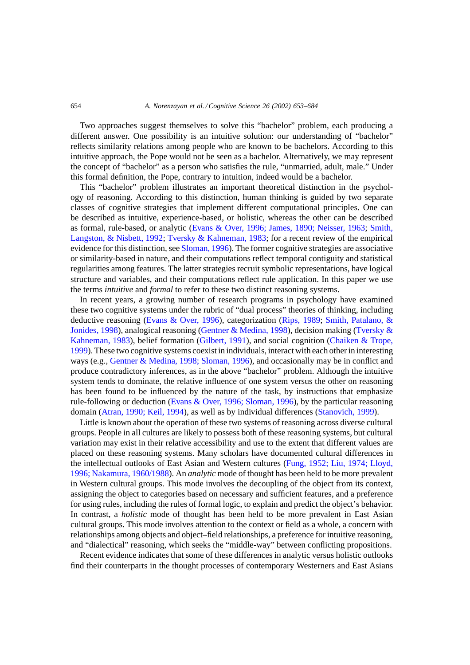Two approaches suggest themselves to solve this "bachelor" problem, each producing a different answer. One possibility is an intuitive solution: our understanding of "bachelor" reflects similarity relations among people who are known to be bachelors. According to this intuitive approach, the Pope would not be seen as a bachelor. Alternatively, we may represent the concept of "bachelor" as a person who satisfies the rule, "unmarried, adult, male." Under this formal definition, the Pope, contrary to intuition, indeed would be a bachelor.

This "bachelor" problem illustrates an important theoretical distinction in the psychology of reasoning. According to this distinction, human thinking is guided by two separate classes of cognitive strategies that implement different computational principles. One can be described as intuitive, experience-based, or holistic, whereas the other can be described as formal, rule-based, or analytic [\(Evans & Over, 1996; James, 1890; Neisser, 1963;](#page-29-0) [Smith,](#page-31-0) [Langston, & Nisbett, 1992;](#page-31-0) [Tversky & Kahneman, 1983;](#page-31-0) for a recent review of the empirical evidence for this distinction, see [Sloman, 1996\).](#page-31-0) The former cognitive strategies are associative or similarity-based in nature, and their computations reflect temporal contiguity and statistical regularities among features. The latter strategies recruit symbolic representations, have logical structure and variables, and their computations reflect rule application. In this paper we use the terms *intuitive* and *formal* to refer to these two distinct reasoning systems.

In recent years, a growing number of research programs in psychology have examined these two cognitive systems under the rubric of "dual process" theories of thinking, including deductive reasoning [\(Evans & Over, 1996\)](#page-29-0), categorization ([Rips, 1989;](#page-31-0) [Smith, Patalano, &](#page-31-0) [Jonides, 1998\),](#page-31-0) analogical reasoning ([Gentner & Medina, 1998\),](#page-30-0) decision making ([Tversky &](#page-31-0) [Kahneman, 1983\),](#page-31-0) belief formation ([Gilbert, 1991\),](#page-30-0) and social cognition ([Chaiken & Trope,](#page-29-0) [1999\).](#page-29-0) These two cognitive systems coexist in individuals, interact with each other in interesting ways (e.g., [Gentner & Medina, 1998; Sloman, 1996\),](#page-30-0) and occasionally may be in conflict and produce contradictory inferences, as in the above "bachelor" problem. Although the intuitive system tends to dominate, the relative influence of one system versus the other on reasoning has been found to be influenced by the nature of the task, by instructions that emphasize rule-following or deduction [\(Evans & Over, 1996; Sloman, 1996\),](#page-29-0) by the particular reasoning domain ([Atran, 1990; Keil, 1994\),](#page-29-0) as well as by individual differences ([Stanovich, 1999\).](#page-31-0)

Little is known about the operation of these two systems of reasoning across diverse cultural groups. People in all cultures are likely to possess both of these reasoning systems, but cultural variation may exist in their relative accessibility and use to the extent that different values are placed on these reasoning systems. Many scholars have documented cultural differences in the intellectual outlooks of East Asian and Western cultures [\(Fung, 1952; Liu, 1974; Lloyd,](#page-30-0) [1996; Nakamura, 1960/1988\).](#page-30-0) An *analytic* mode of thought has been held to be more prevalent in Western cultural groups. This mode involves the decoupling of the object from its context, assigning the object to categories based on necessary and sufficient features, and a preference for using rules, including the rules of formal logic, to explain and predict the object's behavior. In contrast, a *holistic* mode of thought has been held to be more prevalent in East Asian cultural groups. This mode involves attention to the context or field as a whole, a concern with relationships among objects and object–field relationships, a preference for intuitive reasoning, and "dialectical" reasoning, which seeks the "middle-way" between conflicting propositions.

Recent evidence indicates that some of these differences in analytic versus holistic outlooks find their counterparts in the thought processes of contemporary Westerners and East Asians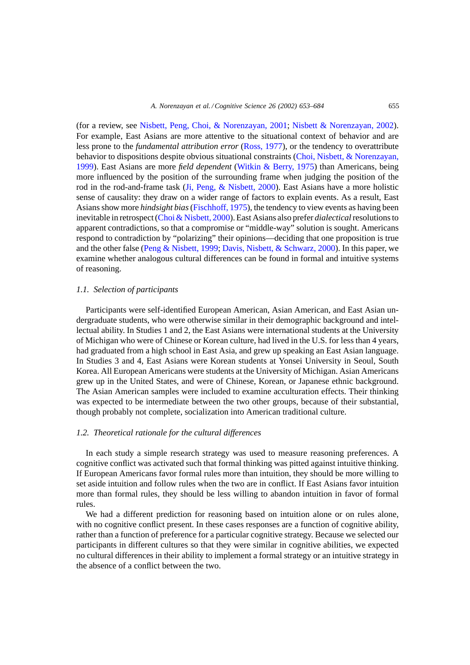(for a review, see [Nisbett, Peng, Choi, & Norenzayan, 2001;](#page-30-0) [Nisbett & Norenzayan, 2002\)](#page-30-0). For example, East Asians are more attentive to the situational context of behavior and are less prone to the *fundamental attribution error* ([Ross, 1977\),](#page-31-0) or the tendency to overattribute behavior to dispositions despite obvious situational constraints ([Choi, Nisbett, & Norenzayan,](#page-29-0) [1999\).](#page-29-0) East Asians are more *field dependent* [\(Witkin & Berry, 1975\)](#page-31-0) than Americans, being more influenced by the position of the surrounding frame when judging the position of the rod in the rod-and-frame task [\(Ji, Peng, & Nisbett, 2000\)](#page-30-0). East Asians have a more holistic sense of causality: they draw on a wider range of factors to explain events. As a result, East Asians show more *hindsight bias*([Fischhoff, 1975\),](#page-30-0) the tendency to view events as having been inevitable in retrospect ([Choi & Nisbett, 2000\).](#page-29-0) East Asians also prefer *dialectical*resolutions to apparent contradictions, so that a compromise or "middle-way" solution is sought. Americans respond to contradiction by "polarizing" their opinions—deciding that one proposition is true and the other false [\(Peng & Nisbett, 1999;](#page-30-0) [Davis, Nisbett, & Schwarz, 2000\).](#page-29-0) In this paper, we examine whether analogous cultural differences can be found in formal and intuitive systems of reasoning.

#### *1.1. Selection of participants*

Participants were self-identified European American, Asian American, and East Asian undergraduate students, who were otherwise similar in their demographic background and intellectual ability. In Studies 1 and 2, the East Asians were international students at the University of Michigan who were of Chinese or Korean culture, had lived in the U.S. for less than 4 years, had graduated from a high school in East Asia, and grew up speaking an East Asian language. In Studies 3 and 4, East Asians were Korean students at Yonsei University in Seoul, South Korea. All European Americans were students at the University of Michigan. Asian Americans grew up in the United States, and were of Chinese, Korean, or Japanese ethnic background. The Asian American samples were included to examine acculturation effects. Their thinking was expected to be intermediate between the two other groups, because of their substantial, though probably not complete, socialization into American traditional culture.

## *1.2. Theoretical rationale for the cultural differences*

In each study a simple research strategy was used to measure reasoning preferences. A cognitive conflict was activated such that formal thinking was pitted against intuitive thinking. If European Americans favor formal rules more than intuition, they should be more willing to set aside intuition and follow rules when the two are in conflict. If East Asians favor intuition more than formal rules, they should be less willing to abandon intuition in favor of formal rules.

We had a different prediction for reasoning based on intuition alone or on rules alone, with no cognitive conflict present. In these cases responses are a function of cognitive ability, rather than a function of preference for a particular cognitive strategy. Because we selected our participants in different cultures so that they were similar in cognitive abilities, we expected no cultural differences in their ability to implement a formal strategy or an intuitive strategy in the absence of a conflict between the two.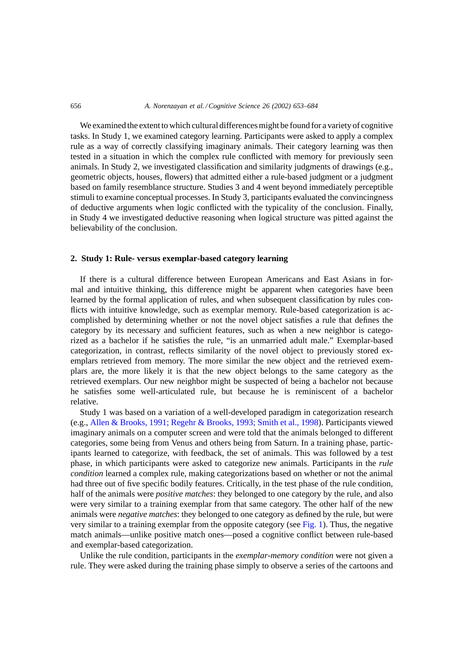#### 656 *A. Norenzayan et al. / Cognitive Science 26 (2002) 653–684*

We examined the extent to which cultural differences might be found for a variety of cognitive tasks. In Study 1, we examined category learning. Participants were asked to apply a complex rule as a way of correctly classifying imaginary animals. Their category learning was then tested in a situation in which the complex rule conflicted with memory for previously seen animals. In Study 2, we investigated classification and similarity judgments of drawings (e.g., geometric objects, houses, flowers) that admitted either a rule-based judgment or a judgment based on family resemblance structure. Studies 3 and 4 went beyond immediately perceptible stimuli to examine conceptual processes. In Study 3, participants evaluated the convincingness of deductive arguments when logic conflicted with the typicality of the conclusion. Finally, in Study 4 we investigated deductive reasoning when logical structure was pitted against the believability of the conclusion.

## **2. Study 1: Rule- versus exemplar-based category learning**

If there is a cultural difference between European Americans and East Asians in formal and intuitive thinking, this difference might be apparent when categories have been learned by the formal application of rules, and when subsequent classification by rules conflicts with intuitive knowledge, such as exemplar memory. Rule-based categorization is accomplished by determining whether or not the novel object satisfies a rule that defines the category by its necessary and sufficient features, such as when a new neighbor is categorized as a bachelor if he satisfies the rule, "is an unmarried adult male." Exemplar-based categorization, in contrast, reflects similarity of the novel object to previously stored exemplars retrieved from memory. The more similar the new object and the retrieved exemplars are, the more likely it is that the new object belongs to the same category as the retrieved exemplars. Our new neighbor might be suspected of being a bachelor not because he satisfies some well-articulated rule, but because he is reminiscent of a bachelor relative.

Study 1 was based on a variation of a well-developed paradigm in categorization research (e.g., [Allen & Brooks, 1991; Regehr & Brooks, 1993; Smith et al., 1998\).](#page-29-0) Participants viewed imaginary animals on a computer screen and were told that the animals belonged to different categories, some being from Venus and others being from Saturn. In a training phase, participants learned to categorize, with feedback, the set of animals. This was followed by a test phase, in which participants were asked to categorize new animals. Participants in the *rule condition* learned a complex rule, making categorizations based on whether or not the animal had three out of five specific bodily features. Critically, in the test phase of the rule condition, half of the animals were *positive matches*: they belonged to one category by the rule, and also were very similar to a training exemplar from that same category. The other half of the new animals were *negative matches*: they belonged to one category as defined by the rule, but were very similar to a training exemplar from the opposite category (see [Fig. 1\).](#page-4-0) Thus, the negative match animals—unlike positive match ones—posed a cognitive conflict between rule-based and exemplar-based categorization.

Unlike the rule condition, participants in the *exemplar-memory condition* were not given a rule. They were asked during the training phase simply to observe a series of the cartoons and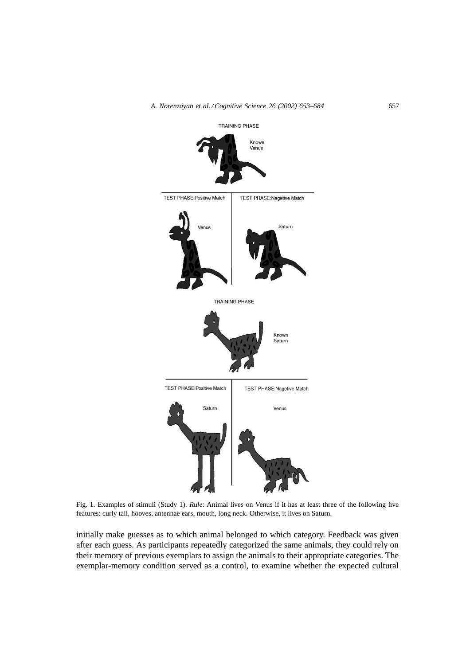<span id="page-4-0"></span>

Fig. 1. Examples of stimuli (Study 1). *Rule*: Animal lives on Venus if it has at least three of the following five features: curly tail, hooves, antennae ears, mouth, long neck. Otherwise, it lives on Saturn.

initially make guesses as to which animal belonged to which category. Feedback was given after each guess. As participants repeatedly categorized the same animals, they could rely on their memory of previous exemplars to assign the animals to their appropriate categories. The exemplar-memory condition served as a control, to examine whether the expected cultural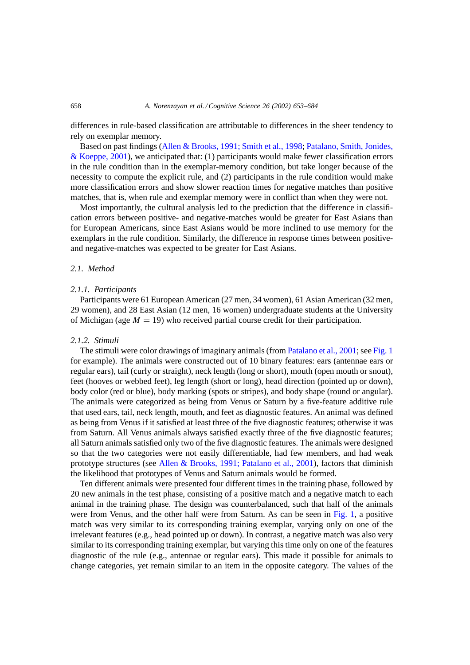differences in rule-based classification are attributable to differences in the sheer tendency to rely on exemplar memory.

Based on past findings ([Allen & Brooks, 1991; Smith et al., 1998;](#page-29-0) [Patalano, Smith, Jonides,](#page-30-0) [& Koeppe, 2001\),](#page-30-0) we anticipated that: (1) participants would make fewer classification errors in the rule condition than in the exemplar-memory condition, but take longer because of the necessity to compute the explicit rule, and (2) participants in the rule condition would make more classification errors and show slower reaction times for negative matches than positive matches, that is, when rule and exemplar memory were in conflict than when they were not.

Most importantly, the cultural analysis led to the prediction that the difference in classification errors between positive- and negative-matches would be greater for East Asians than for European Americans, since East Asians would be more inclined to use memory for the exemplars in the rule condition. Similarly, the difference in response times between positiveand negative-matches was expected to be greater for East Asians.

# *2.1. Method*

#### *2.1.1. Participants*

Participants were 61 European American (27 men, 34 women), 61 Asian American (32 men, 29 women), and 28 East Asian (12 men, 16 women) undergraduate students at the University of Michigan (age  $M = 19$ ) who received partial course credit for their participation.

# *2.1.2. Stimuli*

The stimuli were color drawings of imaginary animals (from [Patalano et al., 2001; s](#page-30-0)ee [Fig. 1](#page-4-0) for example). The animals were constructed out of 10 binary features: ears (antennae ears or regular ears), tail (curly or straight), neck length (long or short), mouth (open mouth or snout), feet (hooves or webbed feet), leg length (short or long), head direction (pointed up or down), body color (red or blue), body marking (spots or stripes), and body shape (round or angular). The animals were categorized as being from Venus or Saturn by a five-feature additive rule that used ears, tail, neck length, mouth, and feet as diagnostic features. An animal was defined as being from Venus if it satisfied at least three of the five diagnostic features; otherwise it was from Saturn. All Venus animals always satisfied exactly three of the five diagnostic features; all Saturn animals satisfied only two of the five diagnostic features. The animals were designed so that the two categories were not easily differentiable, had few members, and had weak prototype structures (see [Allen & Brooks, 1991; Patalano et al., 2001\)](#page-29-0), factors that diminish the likelihood that prototypes of Venus and Saturn animals would be formed.

Ten different animals were presented four different times in the training phase, followed by 20 new animals in the test phase, consisting of a positive match and a negative match to each animal in the training phase. The design was counterbalanced, such that half of the animals were from Venus, and the other half were from Saturn. As can be seen in [Fig. 1,](#page-4-0) a positive match was very similar to its corresponding training exemplar, varying only on one of the irrelevant features (e.g., head pointed up or down). In contrast, a negative match was also very similar to its corresponding training exemplar, but varying this time only on one of the features diagnostic of the rule (e.g., antennae or regular ears). This made it possible for animals to change categories, yet remain similar to an item in the opposite category. The values of the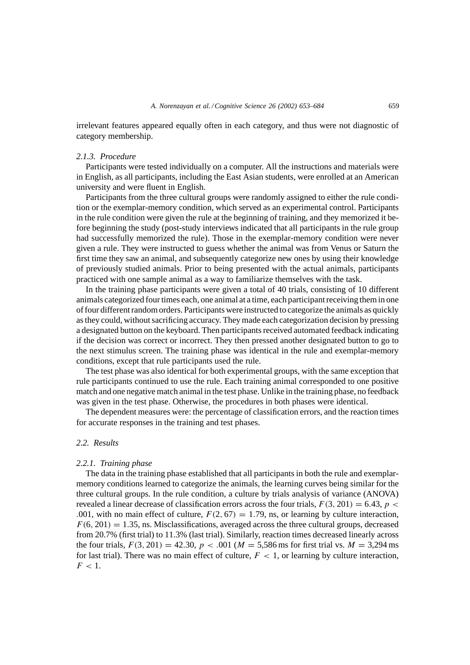irrelevant features appeared equally often in each category, and thus were not diagnostic of category membership.

### *2.1.3. Procedure*

Participants were tested individually on a computer. All the instructions and materials were in English, as all participants, including the East Asian students, were enrolled at an American university and were fluent in English.

Participants from the three cultural groups were randomly assigned to either the rule condition or the exemplar-memory condition, which served as an experimental control. Participants in the rule condition were given the rule at the beginning of training, and they memorized it before beginning the study (post-study interviews indicated that all participants in the rule group had successfully memorized the rule). Those in the exemplar-memory condition were never given a rule. They were instructed to guess whether the animal was from Venus or Saturn the first time they saw an animal, and subsequently categorize new ones by using their knowledge of previously studied animals. Prior to being presented with the actual animals, participants practiced with one sample animal as a way to familiarize themselves with the task.

In the training phase participants were given a total of 40 trials, consisting of 10 different animals categorized four times each, one animal at a time, each participant receiving them in one of four different random orders. Participants were instructed to categorize the animals as quickly as they could, without sacrificing accuracy. They made each categorization decision by pressing a designated button on the keyboard. Then participants received automated feedback indicating if the decision was correct or incorrect. They then pressed another designated button to go to the next stimulus screen. The training phase was identical in the rule and exemplar-memory conditions, except that rule participants used the rule.

The test phase was also identical for both experimental groups, with the same exception that rule participants continued to use the rule. Each training animal corresponded to one positive match and one negative match animal in the test phase. Unlike in the training phase, no feedback was given in the test phase. Otherwise, the procedures in both phases were identical.

The dependent measures were: the percentage of classification errors, and the reaction times for accurate responses in the training and test phases.

# *2.2. Results*

## *2.2.1. Training phase*

The data in the training phase established that all participants in both the rule and exemplarmemory conditions learned to categorize the animals, the learning curves being similar for the three cultural groups. In the rule condition, a culture by trials analysis of variance (ANOVA) revealed a linear decrease of classification errors across the four trials,  $F(3, 201) = 6.43$ ,  $p <$ .001, with no main effect of culture,  $F(2, 67) = 1.79$ , ns, or learning by culture interaction,  $F(6, 201) = 1.35$ , ns. Misclassifications, averaged across the three cultural groups, decreased from 20.7% (first trial) to 11.3% (last trial). Similarly, reaction times decreased linearly across the four trials,  $F(3, 201) = 42.30$ ,  $p < .001$  ( $M = 5,586$  ms for first trial vs.  $M = 3,294$  ms for last trial). There was no main effect of culture,  $F < 1$ , or learning by culture interaction,  $F < 1$ .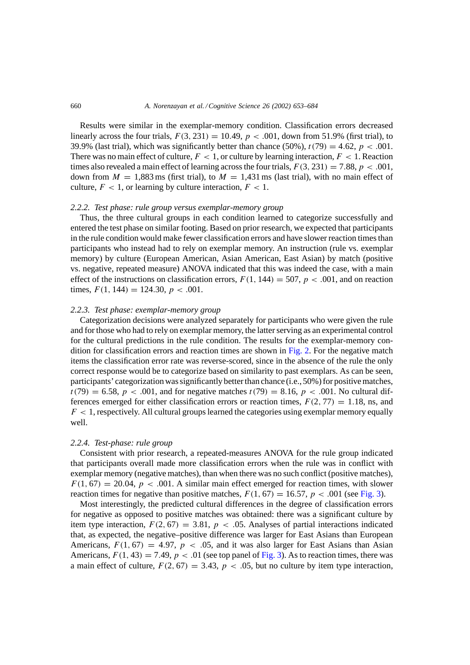Results were similar in the exemplar-memory condition. Classification errors decreased linearly across the four trials,  $F(3, 231) = 10.49$ ,  $p < .001$ , down from 51.9% (first trial), to 39.9% (last trial), which was significantly better than chance (50%),  $t(79) = 4.62$ ,  $p < .001$ . There was no main effect of culture,  $F < 1$ , or culture by learning interaction,  $F < 1$ . Reaction times also revealed a main effect of learning across the four trials,  $F(3, 231) = 7.88$ ,  $p < .001$ , down from  $M = 1,883$  ms (first trial), to  $M = 1,431$  ms (last trial), with no main effect of culture,  $F < 1$ , or learning by culture interaction,  $F < 1$ .

### *2.2.2. Test phase: rule group versus exemplar-memory group*

Thus, the three cultural groups in each condition learned to categorize successfully and entered the test phase on similar footing. Based on prior research, we expected that participants in the rule condition would make fewer classification errors and have slower reaction times than participants who instead had to rely on exemplar memory. An instruction (rule vs. exemplar memory) by culture (European American, Asian American, East Asian) by match (positive vs. negative, repeated measure) ANOVA indicated that this was indeed the case, with a main effect of the instructions on classification errors,  $F(1, 144) = 507$ ,  $p < .001$ , and on reaction times,  $F(1, 144) = 124.30, p < .001$ .

# *2.2.3. Test phase: exemplar-memory group*

Categorization decisions were analyzed separately for participants who were given the rule and for those who had to rely on exemplar memory, the latter serving as an experimental control for the cultural predictions in the rule condition. The results for the exemplar-memory condition for classification errors and reaction times are shown in  $Fig. 2$ . For the negative match items the classification error rate was reverse-scored, since in the absence of the rule the only correct response would be to categorize based on similarity to past exemplars. As can be seen, participants' categorization was significantly better than chance (i.e., 50%) for positive matches,  $t(79) = 6.58, p < .001$ , and for negative matches  $t(79) = 8.16, p < .001$ . No cultural differences emerged for either classification errors or reaction times,  $F(2, 77) = 1.18$ , ns, and  $F < 1$ , respectively. All cultural groups learned the categories using exemplar memory equally well.

#### *2.2.4. Test-phase: rule group*

Consistent with prior research, a repeated-measures ANOVA for the rule group indicated that participants overall made more classification errors when the rule was in conflict with exemplar memory (negative matches), than when there was no such conflict (positive matches),  $F(1, 67) = 20.04$ ,  $p < .001$ . A similar main effect emerged for reaction times, with slower reaction times for negative than positive matches,  $F(1, 67) = 16.57$ ,  $p < .001$  (see [Fig. 3\).](#page-9-0)

Most interestingly, the predicted cultural differences in the degree of classification errors for negative as opposed to positive matches was obtained: there was a significant culture by item type interaction,  $F(2, 67) = 3.81$ ,  $p < .05$ . Analyses of partial interactions indicated that, as expected, the negative–positive difference was larger for East Asians than European Americans,  $F(1, 67) = 4.97$ ,  $p < .05$ , and it was also larger for East Asians than Asian Americans,  $F(1, 43) = 7.49$ ,  $p < .01$  (see top panel of [Fig. 3\).](#page-9-0) As to reaction times, there was a main effect of culture,  $F(2, 67) = 3.43$ ,  $p < .05$ , but no culture by item type interaction,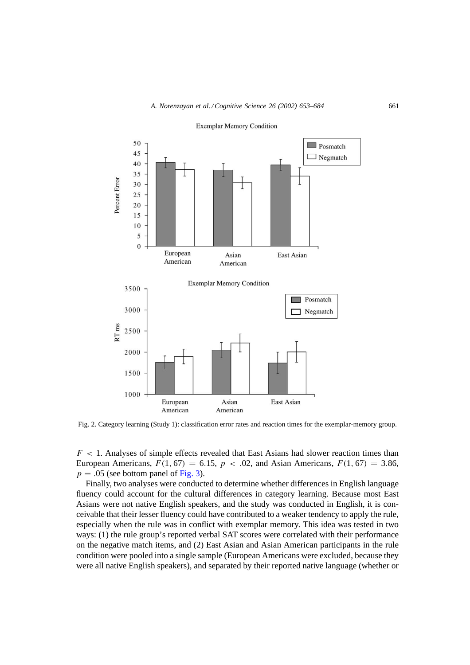<span id="page-8-0"></span>

#### **Exemplar Memory Condition**

Fig. 2. Category learning (Study 1): classification error rates and reaction times for the exemplar-memory group.

 $F < 1$ . Analyses of simple effects revealed that East Asians had slower reaction times than European Americans,  $F(1, 67) = 6.15$ ,  $p < .02$ , and Asian Americans,  $F(1, 67) = 3.86$ ,  $p = .05$  (see bottom panel of [Fig. 3\).](#page-9-0)

Finally, two analyses were conducted to determine whether differences in English language fluency could account for the cultural differences in category learning. Because most East Asians were not native English speakers, and the study was conducted in English, it is conceivable that their lesser fluency could have contributed to a weaker tendency to apply the rule, especially when the rule was in conflict with exemplar memory. This idea was tested in two ways: (1) the rule group's reported verbal SAT scores were correlated with their performance on the negative match items, and (2) East Asian and Asian American participants in the rule condition were pooled into a single sample (European Americans were excluded, because they were all native English speakers), and separated by their reported native language (whether or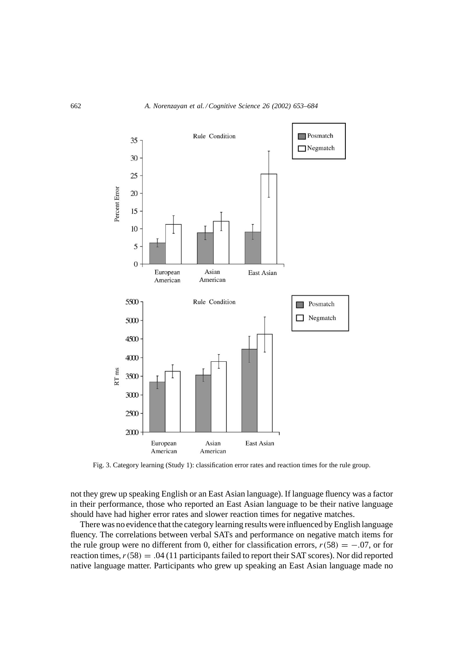<span id="page-9-0"></span>

Fig. 3. Category learning (Study 1): classification error rates and reaction times for the rule group.

not they grew up speaking English or an East Asian language). If language fluency was a factor in their performance, those who reported an East Asian language to be their native language should have had higher error rates and slower reaction times for negative matches.

There was no evidence that the category learning results were influenced by English language fluency. The correlations between verbal SATs and performance on negative match items for the rule group were no different from 0, either for classification errors,  $r(58) = -.07$ , or for reaction times,  $r(58) = .04$  (11 participants failed to report their SAT scores). Nor did reported native language matter. Participants who grew up speaking an East Asian language made no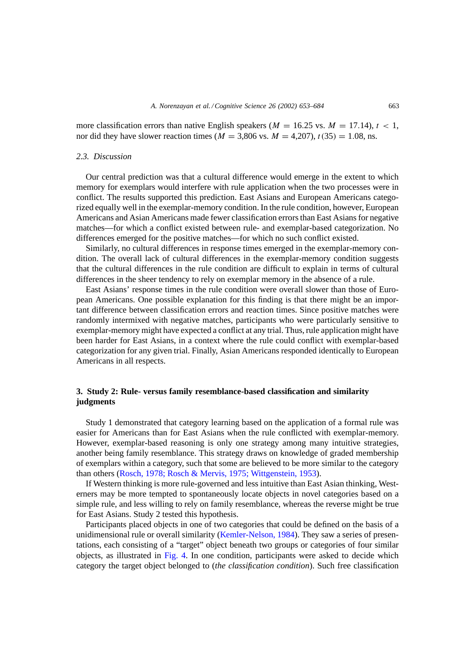more classification errors than native English speakers ( $M = 16.25$  vs.  $M = 17.14$ ),  $t < 1$ , nor did they have slower reaction times ( $M = 3,806$  vs.  $M = 4,207$ ),  $t(35) = 1.08$ , ns.

# *2.3. Discussion*

Our central prediction was that a cultural difference would emerge in the extent to which memory for exemplars would interfere with rule application when the two processes were in conflict. The results supported this prediction. East Asians and European Americans categorized equally well in the exemplar-memory condition. In the rule condition, however, European Americans and Asian Americans made fewer classification errors than East Asians for negative matches—for which a conflict existed between rule- and exemplar-based categorization. No differences emerged for the positive matches—for which no such conflict existed.

Similarly, no cultural differences in response times emerged in the exemplar-memory condition. The overall lack of cultural differences in the exemplar-memory condition suggests that the cultural differences in the rule condition are difficult to explain in terms of cultural differences in the sheer tendency to rely on exemplar memory in the absence of a rule.

East Asians' response times in the rule condition were overall slower than those of European Americans. One possible explanation for this finding is that there might be an important difference between classification errors and reaction times. Since positive matches were randomly intermixed with negative matches, participants who were particularly sensitive to exemplar-memory might have expected a conflict at any trial. Thus, rule application might have been harder for East Asians, in a context where the rule could conflict with exemplar-based categorization for any given trial. Finally, Asian Americans responded identically to European Americans in all respects.

# **3. Study 2: Rule- versus family resemblance-based classification and similarity judgments**

Study 1 demonstrated that category learning based on the application of a formal rule was easier for Americans than for East Asians when the rule conflicted with exemplar-memory. However, exemplar-based reasoning is only one strategy among many intuitive strategies, another being family resemblance. This strategy draws on knowledge of graded membership of exemplars within a category, such that some are believed to be more similar to the category than others [\(Rosch, 1978; Rosch & Mervis, 1975; Wittgenstein, 1953\).](#page-31-0)

If Western thinking is more rule-governed and less intuitive than East Asian thinking, Westerners may be more tempted to spontaneously locate objects in novel categories based on a simple rule, and less willing to rely on family resemblance, whereas the reverse might be true for East Asians. Study 2 tested this hypothesis.

Participants placed objects in one of two categories that could be defined on the basis of a unidimensional rule or overall similarity ([Kemler-Nelson, 1984\).](#page-30-0) They saw a series of presentations, each consisting of a "target" object beneath two groups or categories of four similar objects, as illustrated in [Fig. 4.](#page-11-0) In one condition, participants were asked to decide which category the target object belonged to (*the classification condition*). Such free classification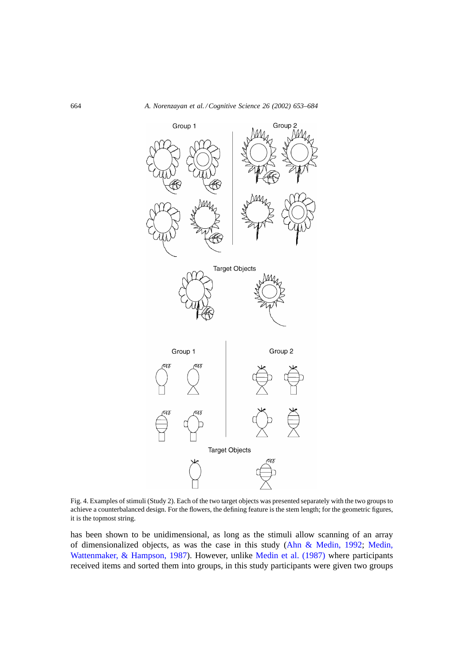<span id="page-11-0"></span>

Fig. 4. Examples of stimuli (Study 2). Each of the two target objects was presented separately with the two groups to achieve a counterbalanced design. For the flowers, the defining feature is the stem length; for the geometric figures, it is the topmost string.

has been shown to be unidimensional, as long as the stimuli allow scanning of an array of dimensionalized objects, as was the case in this study ([Ahn & Medin, 1992](#page-29-0); [Medin,](#page-30-0) [Wattenmaker, & Hampson, 1987\)](#page-30-0). However, unlike [Medin et al. \(1987\)](#page-30-0) where participants received items and sorted them into groups, in this study participants were given two groups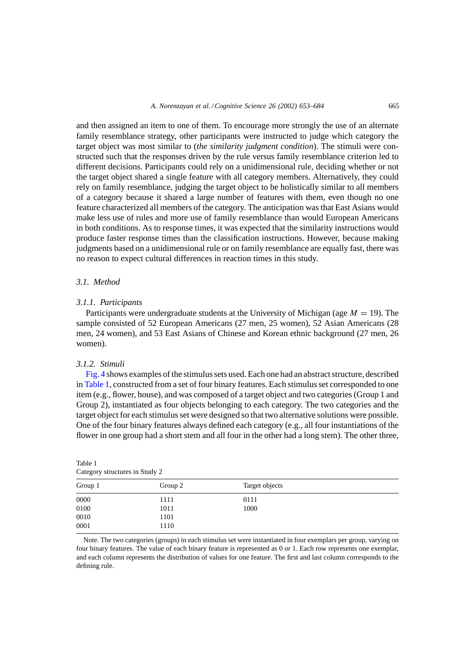and then assigned an item to one of them. To encourage more strongly the use of an alternate family resemblance strategy, other participants were instructed to judge which category the target object was most similar to (*the similarity judgment condition*). The stimuli were constructed such that the responses driven by the rule versus family resemblance criterion led to different decisions. Participants could rely on a unidimensional rule, deciding whether or not the target object shared a single feature with all category members. Alternatively, they could rely on family resemblance, judging the target object to be holistically similar to all members of a category because it shared a large number of features with them, even though no one feature characterized all members of the category. The anticipation was that East Asians would make less use of rules and more use of family resemblance than would European Americans in both conditions. As to response times, it was expected that the similarity instructions would produce faster response times than the classification instructions. However, because making judgments based on a unidimensional rule or on family resemblance are equally fast, there was no reason to expect cultural differences in reaction times in this study.

# *3.1. Method*

#### *3.1.1. Participants*

Participants were undergraduate students at the University of Michigan (age  $M = 19$ ). The sample consisted of 52 European Americans (27 men, 25 women), 52 Asian Americans (28 men, 24 women), and 53 East Asians of Chinese and Korean ethnic background (27 men, 26 women).

#### *3.1.2. Stimuli*

[Fig. 4](#page-11-0) shows examples of the stimulus sets used. Each one had an abstract structure, described in Table 1, constructed from a set of four binary features. Each stimulus set corresponded to one item (e.g., flower, house), and was composed of a target object and two categories (Group 1 and Group 2), instantiated as four objects belonging to each category. The two categories and the target object for each stimulus set were designed so that two alternative solutions were possible. One of the four binary features always defined each category (e.g., all four instantiations of the flower in one group had a short stem and all four in the other had a long stem). The other three,

| Category structures in Study $\angle$ |         |                |  |  |
|---------------------------------------|---------|----------------|--|--|
| Group 1                               | Group 2 | Target objects |  |  |
| 0000                                  | 1111    | 0111           |  |  |
| 0100                                  | 1011    | 1000           |  |  |
| 0010                                  | 1101    |                |  |  |
| 0001                                  | 1110    |                |  |  |

Table 1  $\sum_{i=1}^{n} C_{i} \cdot \sum_{i=1}^{n} C_{i}$ 

Note. The two categories (groups) in each stimulus set were instantiated in four exemplars per group, varying on four binary features. The value of each binary feature is represented as 0 or 1. Each row represents one exemplar, and each column represents the distribution of values for one feature. The first and last column corresponds to the defining rule.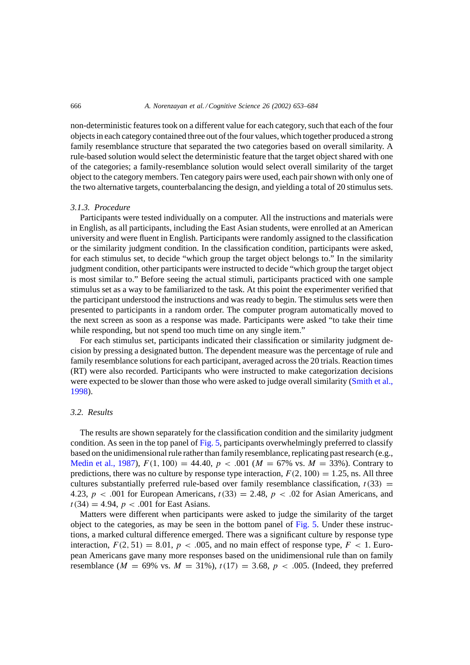non-deterministic features took on a different value for each category, such that each of the four objects in each category contained three out of the four values, which together produced a strong family resemblance structure that separated the two categories based on overall similarity. A rule-based solution would select the deterministic feature that the target object shared with one of the categories; a family-resemblance solution would select overall similarity of the target object to the category members. Ten category pairs were used, each pair shown with only one of the two alternative targets, counterbalancing the design, and yielding a total of 20 stimulus sets.

## *3.1.3. Procedure*

Participants were tested individually on a computer. All the instructions and materials were in English, as all participants, including the East Asian students, were enrolled at an American university and were fluent in English. Participants were randomly assigned to the classification or the similarity judgment condition. In the classification condition, participants were asked, for each stimulus set, to decide "which group the target object belongs to." In the similarity judgment condition, other participants were instructed to decide "which group the target object is most similar to." Before seeing the actual stimuli, participants practiced with one sample stimulus set as a way to be familiarized to the task. At this point the experimenter verified that the participant understood the instructions and was ready to begin. The stimulus sets were then presented to participants in a random order. The computer program automatically moved to the next screen as soon as a response was made. Participants were asked "to take their time while responding, but not spend too much time on any single item."

For each stimulus set, participants indicated their classification or similarity judgment decision by pressing a designated button. The dependent measure was the percentage of rule and family resemblance solutions for each participant, averaged across the 20 trials. Reaction times (RT) were also recorded. Participants who were instructed to make categorization decisions were expected to be slower than those who were asked to judge overall similarity [\(Smith et al.,](#page-31-0) [1998\).](#page-31-0)

# *3.2. Results*

The results are shown separately for the classification condition and the similarity judgment condition. As seen in the top panel of [Fig. 5,](#page-14-0) participants overwhelmingly preferred to classify based on the unidimensional rule rather than family resemblance, replicating past research (e.g., [Medin et al., 1987\)](#page-30-0),  $F(1, 100) = 44.40$ ,  $p < .001$  ( $M = 67\%$  vs.  $M = 33\%$ ). Contrary to predictions, there was no culture by response type interaction,  $F(2, 100) = 1.25$ , ns. All three cultures substantially preferred rule-based over family resemblance classification,  $t(33)$  = 4.23,  $p < .001$  for European Americans,  $t(33) = 2.48$ ,  $p < .02$  for Asian Americans, and  $t(34) = 4.94, p < .001$  for East Asians.

Matters were different when participants were asked to judge the similarity of the target object to the categories, as may be seen in the bottom panel of [Fig. 5.](#page-14-0) Under these instructions, a marked cultural difference emerged. There was a significant culture by response type interaction,  $F(2, 51) = 8.01$ ,  $p < .005$ , and no main effect of response type,  $F < 1$ . European Americans gave many more responses based on the unidimensional rule than on family resemblance ( $M = 69\%$  vs.  $M = 31\%$ ),  $t(17) = 3.68$ ,  $p < .005$ . (Indeed, they preferred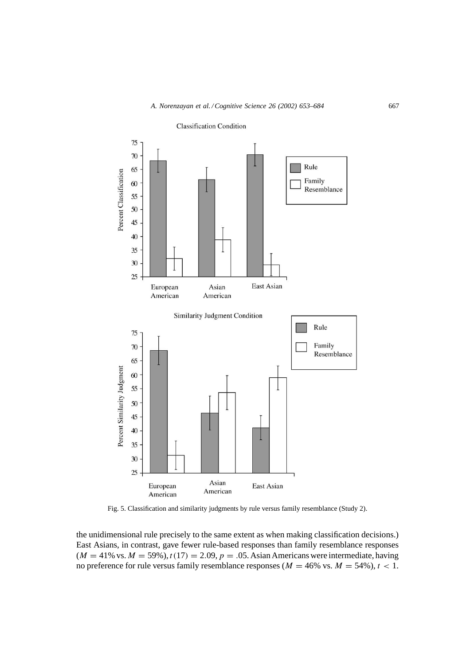<span id="page-14-0"></span>

#### **Classification Condition**

Fig. 5. Classification and similarity judgments by rule versus family resemblance (Study 2).

the unidimensional rule precisely to the same extent as when making classification decisions.) East Asians, in contrast, gave fewer rule-based responses than family resemblance responses  $(M = 41\% \text{ vs. } M = 59\%), t(17) = 2.09, p = .05$ . Asian Americans were intermediate, having no preference for rule versus family resemblance responses ( $M = 46\%$  vs.  $M = 54\%$ ),  $t < 1$ .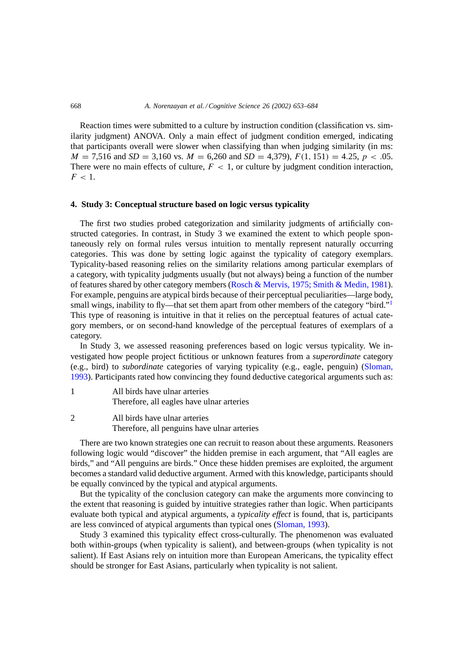Reaction times were submitted to a culture by instruction condition (classification vs. similarity judgment) ANOVA. Only a main effect of judgment condition emerged, indicating that participants overall were slower when classifying than when judging similarity (in ms:  $M = 7,516$  and  $SD = 3,160$  vs.  $M = 6,260$  and  $SD = 4,379$ ,  $F(1, 151) = 4.25$ ,  $p < .05$ . There were no main effects of culture,  $F < 1$ , or culture by judgment condition interaction,  $F < 1$ .

# **4. Study 3: Conceptual structure based on logic versus typicality**

The first two studies probed categorization and similarity judgments of artificially constructed categories. In contrast, in Study 3 we examined the extent to which people spontaneously rely on formal rules versus intuition to mentally represent naturally occurring categories. This was done by setting logic against the typicality of category exemplars. Typicality-based reasoning relies on the similarity relations among particular exemplars of a category, with typicality judgments usually (but not always) being a function of the number of features shared by other category members ([Rosch & Mervis, 1975; Smith & Medin, 1981\).](#page-31-0) For example, penguins are atypical birds because of their perceptual peculiarities—large body, small wings, inability to fly—that set them apart from other members of the category "bird."<sup>1</sup> This type of reasoning is intuitive in that it relies on the perceptual features of actual category members, or on second-hand knowledge of the perceptual features of exemplars of a category.

In Study 3, we assessed reasoning preferences based on logic versus typicality. We investigated how people project fictitious or unknown features from a *superordinate* category (e.g., bird) to *subordinate* categories of varying typicality (e.g., eagle, penguin) [\(Sloman,](#page-31-0) [1993\).](#page-31-0) Participants rated how convincing they found deductive categorical arguments such as:

|                | All birds have ulnar arteries             |
|----------------|-------------------------------------------|
|                | Therefore, all eagles have ulnar arteries |
| $\overline{c}$ | All birds have ulnar arteries             |

Therefore, all penguins have ulnar arteries

There are two known strategies one can recruit to reason about these arguments. Reasoners following logic would "discover" the hidden premise in each argument, that "All eagles are birds," and "All penguins are birds." Once these hidden premises are exploited, the argument becomes a standard valid deductive argument. Armed with this knowledge, participants should be equally convinced by the typical and atypical arguments.

But the typicality of the conclusion category can make the arguments more convincing to the extent that reasoning is guided by intuitive strategies rather than logic. When participants evaluate both typical and atypical arguments, a *typicality effect* is found, that is, participants are less convinced of atypical arguments than typical ones [\(Sloman, 1993\).](#page-31-0)

Study 3 examined this typicality effect cross-culturally. The phenomenon was evaluated both within-groups (when typicality is salient), and between-groups (when typicality is not salient). If East Asians rely on intuition more than European Americans, the typicality effect should be stronger for East Asians, particularly when typicality is not salient.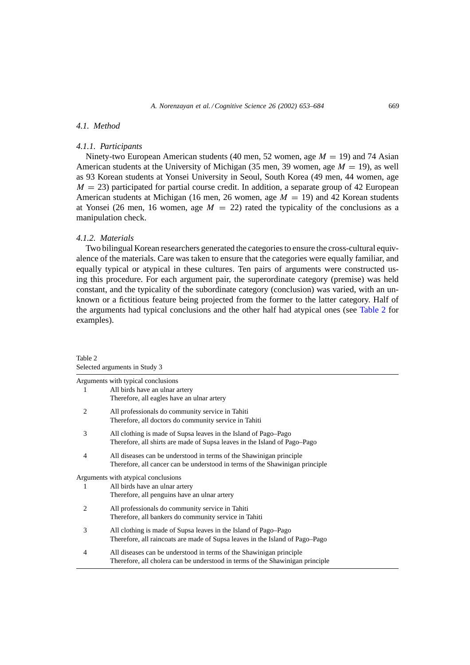# *4.1. Method*

# *4.1.1. Participants*

Ninety-two European American students (40 men, 52 women, age  $M = 19$ ) and 74 Asian American students at the University of Michigan (35 men, 39 women, age  $M = 19$ ), as well as 93 Korean students at Yonsei University in Seoul, South Korea (49 men, 44 women, age  $M = 23$ ) participated for partial course credit. In addition, a separate group of 42 European American students at Michigan (16 men, 26 women, age  $M = 19$ ) and 42 Korean students at Yonsei (26 men, 16 women, age  $M = 22$ ) rated the typicality of the conclusions as a manipulation check.

## *4.1.2. Materials*

Two bilingual Korean researchers generated the categories to ensure the cross-cultural equivalence of the materials. Care was taken to ensure that the categories were equally familiar, and equally typical or atypical in these cultures. Ten pairs of arguments were constructed using this procedure. For each argument pair, the superordinate category (premise) was held constant, and the typicality of the subordinate category (conclusion) was varied, with an unknown or a fictitious feature being projected from the former to the latter category. Half of the arguments had typical conclusions and the other half had atypical ones (see Table 2 for examples).

| Selected arguments in Study 3 |                                                                                                                                                      |  |  |
|-------------------------------|------------------------------------------------------------------------------------------------------------------------------------------------------|--|--|
| 1                             | Arguments with typical conclusions<br>All birds have an ulnar artery<br>Therefore, all eagles have an ulnar artery                                   |  |  |
| 2                             | All professionals do community service in Tahiti<br>Therefore, all doctors do community service in Tahiti                                            |  |  |
| 3                             | All clothing is made of Supsa leaves in the Island of Pago–Pago<br>Therefore, all shirts are made of Supsa leaves in the Island of Pago-Pago         |  |  |
| $\overline{4}$                | All diseases can be understood in terms of the Shawinigan principle<br>Therefore, all cancer can be understood in terms of the Shawinigan principle  |  |  |
| 1                             | Arguments with atypical conclusions<br>All birds have an ulnar artery<br>Therefore, all penguins have an ulnar artery                                |  |  |
| 2                             | All professionals do community service in Tahiti<br>Therefore, all bankers do community service in Tahiti                                            |  |  |
| 3                             | All clothing is made of Supsa leaves in the Island of Pago-Pago<br>Therefore, all raincoats are made of Supsa leaves in the Island of Pago-Pago      |  |  |
| 4                             | All diseases can be understood in terms of the Shawinigan principle<br>Therefore, all cholera can be understood in terms of the Shawinigan principle |  |  |
|                               |                                                                                                                                                      |  |  |

Table 2 Selected arguments in Study 3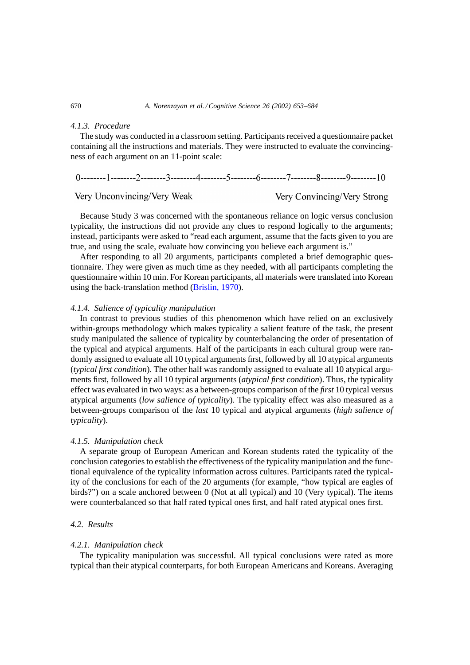#### *4.1.3. Procedure*

The study was conducted in a classroom setting. Participants received a questionnaire packet containing all the instructions and materials. They were instructed to evaluate the convincingness of each argument on an 11-point scale:

Very Unconvincing/Very Weak

Very Convincing/Very Strong

Because Study 3 was concerned with the spontaneous reliance on logic versus conclusion typicality, the instructions did not provide any clues to respond logically to the arguments; instead, participants were asked to "read each argument, assume that the facts given to you are true, and using the scale, evaluate how convincing you believe each argument is."

After responding to all 20 arguments, participants completed a brief demographic questionnaire. They were given as much time as they needed, with all participants completing the questionnaire within 10 min. For Korean participants, all materials were translated into Korean using the back-translation method ([Brislin, 1970\).](#page-29-0)

# *4.1.4. Salience of typicality manipulation*

In contrast to previous studies of this phenomenon which have relied on an exclusively within-groups methodology which makes typicality a salient feature of the task, the present study manipulated the salience of typicality by counterbalancing the order of presentation of the typical and atypical arguments. Half of the participants in each cultural group were randomly assigned to evaluate all 10 typical arguments first, followed by all 10 atypical arguments (*typical first condition*). The other half was randomly assigned to evaluate all 10 atypical arguments first, followed by all 10 typical arguments (*atypical first condition*). Thus, the typicality effect was evaluated in two ways: as a between-groups comparison of the *first* 10 typical versus atypical arguments (*low salience of typicality*). The typicality effect was also measured as a between-groups comparison of the *last* 10 typical and atypical arguments (*high salience of typicality*).

#### *4.1.5. Manipulation check*

A separate group of European American and Korean students rated the typicality of the conclusion categories to establish the effectiveness of the typicality manipulation and the functional equivalence of the typicality information across cultures. Participants rated the typicality of the conclusions for each of the 20 arguments (for example, "how typical are eagles of birds?") on a scale anchored between 0 (Not at all typical) and 10 (Very typical). The items were counterbalanced so that half rated typical ones first, and half rated atypical ones first.

# *4.2. Results*

#### *4.2.1. Manipulation check*

The typicality manipulation was successful. All typical conclusions were rated as more typical than their atypical counterparts, for both European Americans and Koreans. Averaging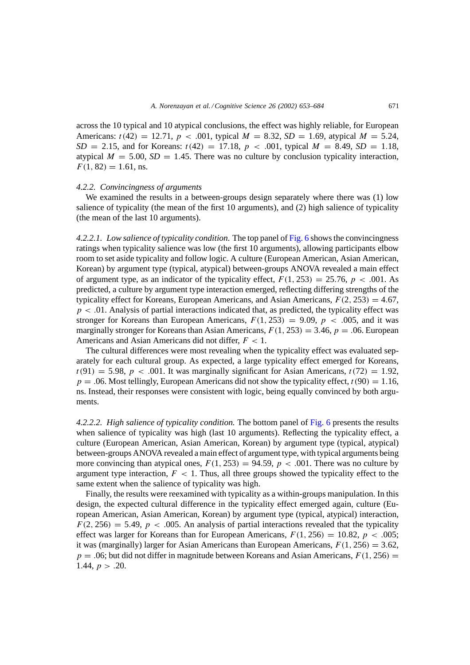across the 10 typical and 10 atypical conclusions, the effect was highly reliable, for European Americans:  $t(42) = 12.71$ ,  $p < .001$ , typical  $M = 8.32$ ,  $SD = 1.69$ , atypical  $M = 5.24$ ,  $SD = 2.15$ , and for Koreans:  $t(42) = 17.18$ ,  $p < .001$ , typical  $M = 8.49$ ,  $SD = 1.18$ , atypical  $M = 5.00$ ,  $SD = 1.45$ . There was no culture by conclusion typicality interaction,  $F(1, 82) = 1.61$ , ns.

#### *4.2.2. Convincingness of arguments*

We examined the results in a between-groups design separately where there was (1) low salience of typicality (the mean of the first 10 arguments), and (2) high salience of typicality (the mean of the last 10 arguments).

*4.2.2.1. Low salience of typicality condition.* The top panel of [Fig. 6](#page-19-0) shows the convincingness ratings when typicality salience was low (the first 10 arguments), allowing participants elbow room to set aside typicality and follow logic. A culture (European American, Asian American, Korean) by argument type (typical, atypical) between-groups ANOVA revealed a main effect of argument type, as an indicator of the typicality effect,  $F(1, 253) = 25.76$ ,  $p < .001$ . As predicted, a culture by argument type interaction emerged, reflecting differing strengths of the typicality effect for Koreans, European Americans, and Asian Americans,  $F(2, 253) = 4.67$ ,  $p < .01$ . Analysis of partial interactions indicated that, as predicted, the typicality effect was stronger for Koreans than European Americans,  $F(1, 253) = 9.09$ ,  $p < .005$ , and it was marginally stronger for Koreans than Asian Americans,  $F(1, 253) = 3.46$ ,  $p = .06$ . European Americans and Asian Americans did not differ,  $F < 1$ .

The cultural differences were most revealing when the typicality effect was evaluated separately for each cultural group. As expected, a large typicality effect emerged for Koreans,  $t(91) = 5.98$ ,  $p < .001$ . It was marginally significant for Asian Americans,  $t(72) = 1.92$ ,  $p = .06$ . Most tellingly, European Americans did not show the typicality effect,  $t(90) = 1.16$ , ns. Instead, their responses were consistent with logic, being equally convinced by both arguments.

*4.2.2.2. High salience of typicality condition.* The bottom panel of [Fig. 6](#page-19-0) presents the results when salience of typicality was high (last 10 arguments). Reflecting the typicality effect, a culture (European American, Asian American, Korean) by argument type (typical, atypical) between-groups ANOVA revealed a main effect of argument type, with typical arguments being more convincing than atypical ones,  $F(1, 253) = 94.59$ ,  $p < .001$ . There was no culture by argument type interaction,  $F < 1$ . Thus, all three groups showed the typicality effect to the same extent when the salience of typicality was high.

Finally, the results were reexamined with typicality as a within-groups manipulation. In this design, the expected cultural difference in the typicality effect emerged again, culture (European American, Asian American, Korean) by argument type (typical, atypical) interaction,  $F(2, 256) = 5.49$ ,  $p < .005$ . An analysis of partial interactions revealed that the typicality effect was larger for Koreans than for European Americans,  $F(1, 256) = 10.82$ ,  $p < .005$ ; it was (marginally) larger for Asian Americans than European Americans,  $F(1, 256) = 3.62$ ,  $p = 0.06$ ; but did not differ in magnitude between Koreans and Asian Americans,  $F(1, 256) =$ 1.44,  $p > .20$ .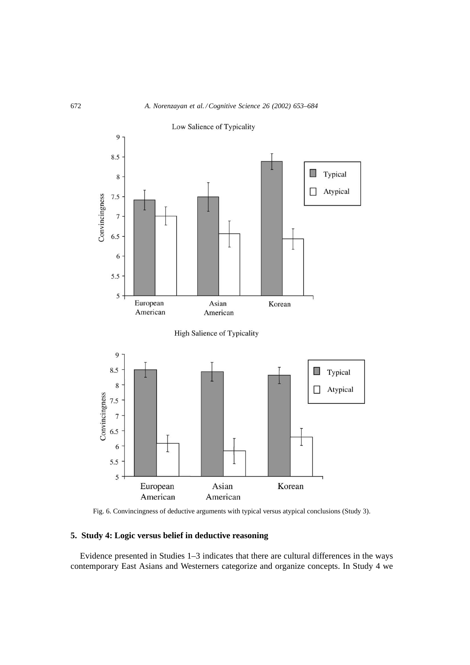<span id="page-19-0"></span>

Fig. 6. Convincingness of deductive arguments with typical versus atypical conclusions (Study 3).

# **5. Study 4: Logic versus belief in deductive reasoning**

Evidence presented in Studies 1–3 indicates that there are cultural differences in the ways contemporary East Asians and Westerners categorize and organize concepts. In Study 4 we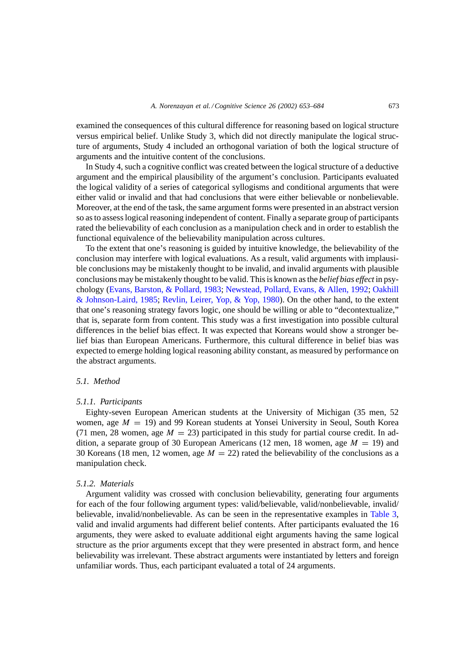examined the consequences of this cultural difference for reasoning based on logical structure versus empirical belief. Unlike Study 3, which did not directly manipulate the logical structure of arguments, Study 4 included an orthogonal variation of both the logical structure of arguments and the intuitive content of the conclusions.

In Study 4, such a cognitive conflict was created between the logical structure of a deductive argument and the empirical plausibility of the argument's conclusion. Participants evaluated the logical validity of a series of categorical syllogisms and conditional arguments that were either valid or invalid and that had conclusions that were either believable or nonbelievable. Moreover, at the end of the task, the same argument forms were presented in an abstract version so as to assess logical reasoning independent of content. Finally a separate group of participants rated the believability of each conclusion as a manipulation check and in order to establish the functional equivalence of the believability manipulation across cultures.

To the extent that one's reasoning is guided by intuitive knowledge, the believability of the conclusion may interfere with logical evaluations. As a result, valid arguments with implausible conclusions may be mistakenly thought to be invalid, and invalid arguments with plausible conclusions may be mistakenly thought to be valid. This is known as the *belief bias effect* in psychology [\(Evans, Barston, & Pollard, 1983;](#page-29-0) [Newstead, Pollard, Evans, & Allen, 1992;](#page-30-0) [Oakhill](#page-30-0) [& Johnson-Laird, 1985;](#page-30-0) [Revlin, Leirer, Yop, & Yop, 1980\)](#page-31-0). On the other hand, to the extent that one's reasoning strategy favors logic, one should be willing or able to "decontextualize," that is, separate form from content. This study was a first investigation into possible cultural differences in the belief bias effect. It was expected that Koreans would show a stronger belief bias than European Americans. Furthermore, this cultural difference in belief bias was expected to emerge holding logical reasoning ability constant, as measured by performance on the abstract arguments.

#### *5.1. Method*

#### *5.1.1. Participants*

Eighty-seven European American students at the University of Michigan (35 men, 52 women, age  $M = 19$ ) and 99 Korean students at Yonsei University in Seoul, South Korea (71 men, 28 women, age  $M = 23$ ) participated in this study for partial course credit. In addition, a separate group of 30 European Americans (12 men, 18 women, age  $M = 19$ ) and 30 Koreans (18 men, 12 women, age  $M = 22$ ) rated the believability of the conclusions as a manipulation check.

#### *5.1.2. Materials*

Argument validity was crossed with conclusion believability, generating four arguments for each of the four following argument types: valid/believable, valid/nonbelievable, invalid/ believable, invalid/nonbelievable. As can be seen in the representative examples in [Table 3,](#page-21-0) valid and invalid arguments had different belief contents. After participants evaluated the 16 arguments, they were asked to evaluate additional eight arguments having the same logical structure as the prior arguments except that they were presented in abstract form, and hence believability was irrelevant. These abstract arguments were instantiated by letters and foreign unfamiliar words. Thus, each participant evaluated a total of 24 arguments.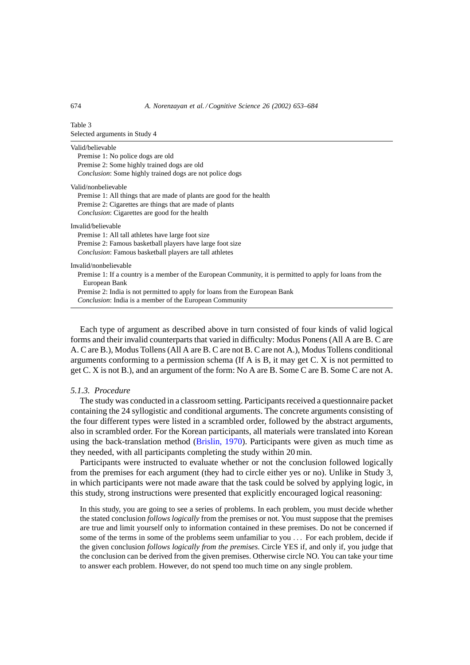#### Table 3 Selected arguments in Study 4

| Valid/believable                                                                                           |
|------------------------------------------------------------------------------------------------------------|
| Premise 1: No police dogs are old                                                                          |
| Premise 2: Some highly trained dogs are old                                                                |
| <i>Conclusion:</i> Some highly trained dogs are not police dogs                                            |
| Valid/nonbelievable                                                                                        |
| Premise 1: All things that are made of plants are good for the health                                      |
| Premise 2: Cigarettes are things that are made of plants                                                   |
| <i>Conclusion:</i> Cigarettes are good for the health                                                      |
| Invalid/believable                                                                                         |
| Premise 1: All tall athletes have large foot size                                                          |
| Premise 2: Famous basketball players have large foot size                                                  |
| Conclusion: Famous basketball players are tall athletes                                                    |
| Invalid/nonbelievable                                                                                      |
| Premise 1: If a country is a member of the European Community, it is permitted to apply for loans from the |
| European Bank                                                                                              |
| Premise 2: India is not permitted to apply for loans from the European Bank                                |
| <i>Conclusion:</i> India is a member of the European Community                                             |
|                                                                                                            |

Each type of argument as described above in turn consisted of four kinds of valid logical forms and their invalid counterparts that varied in difficulty: Modus Ponens (All A are B. C are A. C are B.), Modus Tollens (All A are B. C are not B. C are not A.), Modus Tollens conditional arguments conforming to a permission schema (If A is B, it may get C. X is not permitted to get C. X is not B.), and an argument of the form: No A are B. Some C are B. Some C are not A.

#### *5.1.3. Procedure*

The study was conducted in a classroom setting. Participants received a questionnaire packet containing the 24 syllogistic and conditional arguments. The concrete arguments consisting of the four different types were listed in a scrambled order, followed by the abstract arguments, also in scrambled order. For the Korean participants, all materials were translated into Korean using the back-translation method [\(Brislin, 1970\).](#page-29-0) Participants were given as much time as they needed, with all participants completing the study within 20 min.

Participants were instructed to evaluate whether or not the conclusion followed logically from the premises for each argument (they had to circle either yes or no). Unlike in Study 3, in which participants were not made aware that the task could be solved by applying logic, in this study, strong instructions were presented that explicitly encouraged logical reasoning:

In this study, you are going to see a series of problems. In each problem, you must decide whether the stated conclusion *follows logically* from the premises or not. You must suppose that the premises are true and limit yourself only to information contained in these premises. Do not be concerned if some of the terms in some of the problems seem unfamiliar to you ... For each problem, decide if the given conclusion *follows logically from the premises*. Circle YES if, and only if, you judge that the conclusion can be derived from the given premises. Otherwise circle NO. You can take your time to answer each problem. However, do not spend too much time on any single problem.

<span id="page-21-0"></span>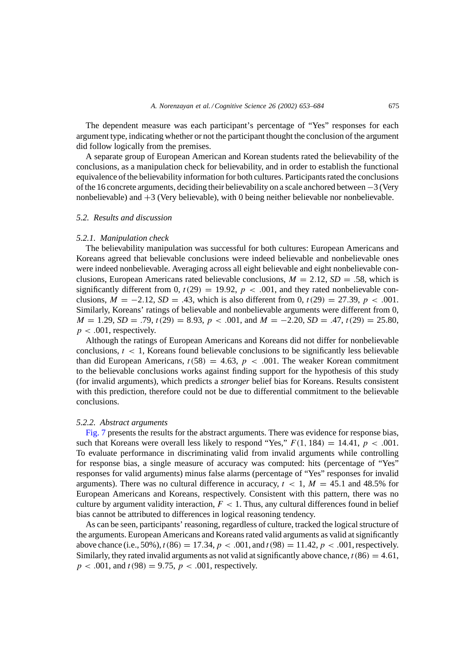The dependent measure was each participant's percentage of "Yes" responses for each argument type, indicating whether or not the participant thought the conclusion of the argument did follow logically from the premises.

A separate group of European American and Korean students rated the believability of the conclusions, as a manipulation check for believability, and in order to establish the functional equivalence of the believability information for both cultures. Participants rated the conclusions of the 16 concrete arguments, deciding their believability on a scale anchored between −3 (Very nonbelievable) and  $+3$  (Very believable), with 0 being neither believable nor nonbelievable.

# *5.2. Results and discussion*

#### *5.2.1. Manipulation check*

The believability manipulation was successful for both cultures: European Americans and Koreans agreed that believable conclusions were indeed believable and nonbelievable ones were indeed nonbelievable. Averaging across all eight believable and eight nonbelievable conclusions, European Americans rated believable conclusions,  $M = 2.12$ ,  $SD = .58$ , which is significantly different from 0,  $t(29) = 19.92$ ,  $p < .001$ , and they rated nonbelievable conclusions,  $M = -2.12$ ,  $SD = .43$ , which is also different from 0,  $t(29) = 27.39$ ,  $p < .001$ . Similarly, Koreans' ratings of believable and nonbelievable arguments were different from 0,  $M = 1.29$ ,  $SD = .79$ ,  $t(29) = 8.93$ ,  $p < .001$ , and  $M = -2.20$ ,  $SD = .47$ ,  $t(29) = 25.80$ ,  $p < .001$ , respectively.

Although the ratings of European Americans and Koreans did not differ for nonbelievable conclusions,  $t < 1$ , Koreans found believable conclusions to be significantly less believable than did European Americans,  $t(58) = 4.63$ ,  $p < .001$ . The weaker Korean commitment to the believable conclusions works against finding support for the hypothesis of this study (for invalid arguments), which predicts a *stronger* belief bias for Koreans. Results consistent with this prediction, therefore could not be due to differential commitment to the believable conclusions.

#### *5.2.2. Abstract arguments*

[Fig. 7](#page-23-0) presents the results for the abstract arguments. There was evidence for response bias, such that Koreans were overall less likely to respond "Yes,"  $F(1, 184) = 14.41$ ,  $p < .001$ . To evaluate performance in discriminating valid from invalid arguments while controlling for response bias, a single measure of accuracy was computed: hits (percentage of "Yes" responses for valid arguments) minus false alarms (percentage of "Yes" responses for invalid arguments). There was no cultural difference in accuracy,  $t < 1$ ,  $M = 45.1$  and 48.5% for European Americans and Koreans, respectively. Consistent with this pattern, there was no culture by argument validity interaction,  $F < 1$ . Thus, any cultural differences found in belief bias cannot be attributed to differences in logical reasoning tendency.

As can be seen, participants' reasoning, regardless of culture, tracked the logical structure of the arguments. European Americans and Koreans rated valid arguments as valid at significantly above chance (i.e., 50%),  $t(86) = 17.34$ ,  $p < .001$ , and  $t(98) = 11.42$ ,  $p < .001$ , respectively. Similarly, they rated invalid arguments as not valid at significantly above chance,  $t(86) = 4.61$ ,  $p < .001$ , and  $t (98) = 9.75$ ,  $p < .001$ , respectively.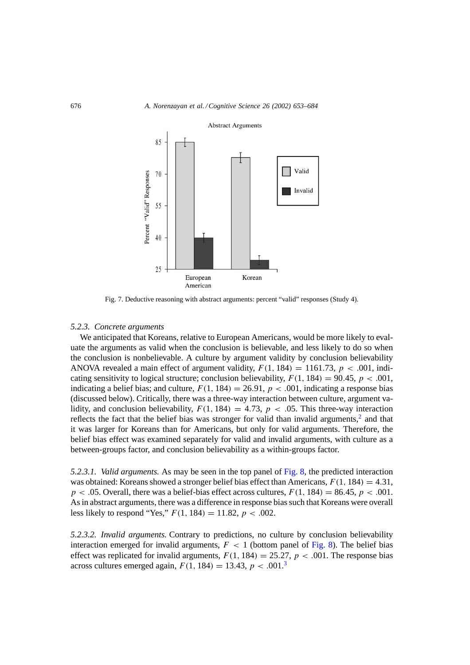<span id="page-23-0"></span>

Fig. 7. Deductive reasoning with abstract arguments: percent "valid" responses (Study 4).

# *5.2.3. Concrete arguments*

We anticipated that Koreans, relative to European Americans, would be more likely to evaluate the arguments as valid when the conclusion is believable, and less likely to do so when the conclusion is nonbelievable. A culture by argument validity by conclusion believability ANOVA revealed a main effect of argument validity,  $F(1, 184) = 1161.73$ ,  $p < .001$ , indicating sensitivity to logical structure; conclusion believability,  $F(1, 184) = 90.45$ ,  $p < .001$ , indicating a belief bias; and culture,  $F(1, 184) = 26.91$ ,  $p < .001$ , indicating a response bias (discussed below). Critically, there was a three-way interaction between culture, argument validity, and conclusion believability,  $F(1, 184) = 4.73$ ,  $p < .05$ . This three-way interaction reflects the fact that the belief bias was stronger for valid than invalid arguments, $\frac{2}{3}$  [and](#page-28-0) that it was larger for Koreans than for Americans, but only for valid arguments. Therefore, the belief bias effect was examined separately for valid and invalid arguments, with culture as a between-groups factor, and conclusion believability as a within-groups factor.

*5.2.3.1. Valid arguments.* As may be seen in the top panel of [Fig. 8,](#page-24-0) the predicted interaction was obtained: Koreans showed a stronger belief bias effect than Americans,  $F(1, 184) = 4.31$ ,  $p < .05$ . Overall, there was a belief-bias effect across cultures,  $F(1, 184) = 86.45$ ,  $p < .001$ . As in abstract arguments, there was a difference in response bias such that Koreans were overall less likely to respond "Yes,"  $F(1, 184) = 11.82, p < .002$ .

*5.2.3.2. Invalid arguments.* Contrary to predictions, no culture by conclusion believability interaction emerged for invalid arguments,  $F < 1$  (bottom panel of [Fig. 8\).](#page-24-0) The belief bias effect was replicated for invalid arguments,  $F(1, 184) = 25.27$ ,  $p < .001$ . The response bias across cultures emerged again,  $F(1, 184) = 13.43$ ,  $p < .001$ .<sup>3</sup>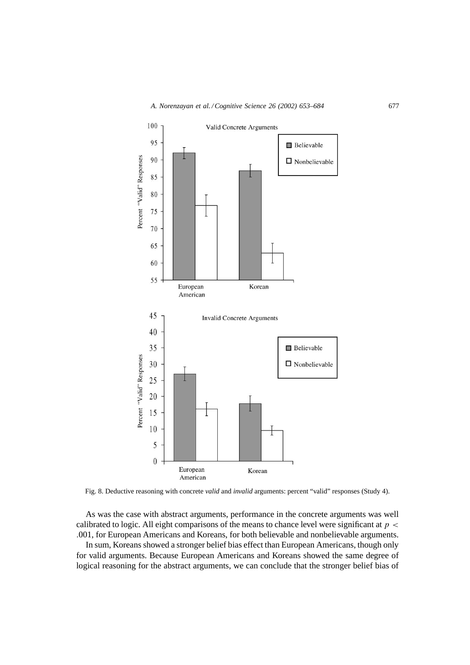<span id="page-24-0"></span>

Fig. 8. Deductive reasoning with concrete *valid* and *invalid* arguments: percent "valid" responses (Study 4).

As was the case with abstract arguments, performance in the concrete arguments was well calibrated to logic. All eight comparisons of the means to chance level were significant at  $p <$ .001, for European Americans and Koreans, for both believable and nonbelievable arguments.

In sum, Koreans showed a stronger belief bias effect than European Americans, though only for valid arguments. Because European Americans and Koreans showed the same degree of logical reasoning for the abstract arguments, we can conclude that the stronger belief bias of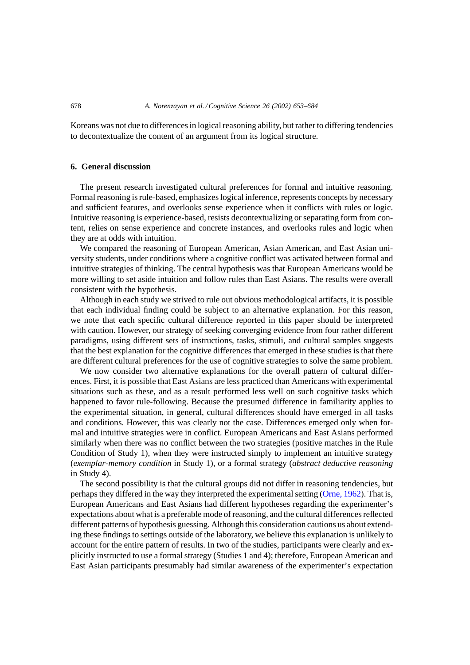Koreans was not due to differences in logical reasoning ability, but rather to differing tendencies to decontextualize the content of an argument from its logical structure.

#### **6. General discussion**

The present research investigated cultural preferences for formal and intuitive reasoning. Formal reasoning is rule-based, emphasizes logical inference, represents concepts by necessary and sufficient features, and overlooks sense experience when it conflicts with rules or logic. Intuitive reasoning is experience-based, resists decontextualizing or separating form from content, relies on sense experience and concrete instances, and overlooks rules and logic when they are at odds with intuition.

We compared the reasoning of European American, Asian American, and East Asian university students, under conditions where a cognitive conflict was activated between formal and intuitive strategies of thinking. The central hypothesis was that European Americans would be more willing to set aside intuition and follow rules than East Asians. The results were overall consistent with the hypothesis.

Although in each study we strived to rule out obvious methodological artifacts, it is possible that each individual finding could be subject to an alternative explanation. For this reason, we note that each specific cultural difference reported in this paper should be interpreted with caution. However, our strategy of seeking converging evidence from four rather different paradigms, using different sets of instructions, tasks, stimuli, and cultural samples suggests that the best explanation for the cognitive differences that emerged in these studies is that there are different cultural preferences for the use of cognitive strategies to solve the same problem.

We now consider two alternative explanations for the overall pattern of cultural differences. First, it is possible that East Asians are less practiced than Americans with experimental situations such as these, and as a result performed less well on such cognitive tasks which happened to favor rule-following. Because the presumed difference in familiarity applies to the experimental situation, in general, cultural differences should have emerged in all tasks and conditions. However, this was clearly not the case. Differences emerged only when formal and intuitive strategies were in conflict. European Americans and East Asians performed similarly when there was no conflict between the two strategies (positive matches in the Rule Condition of Study 1), when they were instructed simply to implement an intuitive strategy (*exemplar-memory condition* in Study 1), or a formal strategy (*abstract deductive reasoning* in Study 4).

The second possibility is that the cultural groups did not differ in reasoning tendencies, but perhaps they differed in the way they interpreted the experimental setting [\(Orne, 1962\).](#page-30-0) That is, European Americans and East Asians had different hypotheses regarding the experimenter's expectations about what is a preferable mode of reasoning, and the cultural differences reflected different patterns of hypothesis guessing. Although this consideration cautions us about extending these findings to settings outside of the laboratory, we believe this explanation is unlikely to account for the entire pattern of results. In two of the studies, participants were clearly and explicitly instructed to use a formal strategy (Studies 1 and 4); therefore, European American and East Asian participants presumably had similar awareness of the experimenter's expectation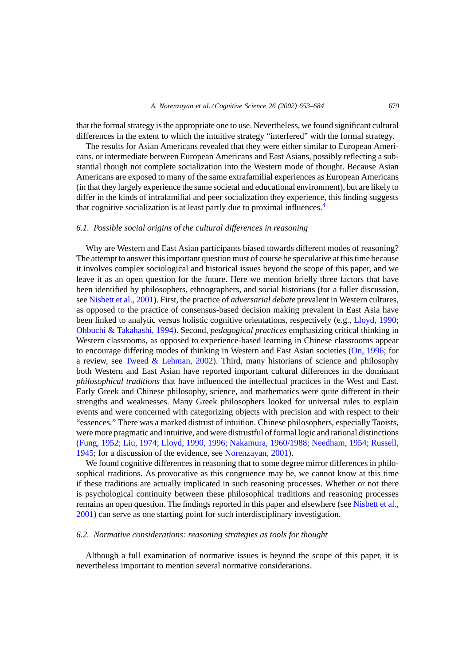that the formal strategy is the appropriate one to use. Nevertheless, we found significant cultural differences in the extent to which the intuitive strategy "interfered" with the formal strategy.

The results for Asian Americans revealed that they were either similar to European Americans, or intermediate between European Americans and East Asians, possibly reflecting a substantial though not complete socialization into the Western mode of thought. Because Asian Americans are exposed to many of the same extrafamilial experiences as European Americans (in that they largely experience the same societal and educational environment), but are likely to differ in the kinds of intrafamilial and peer socialization they experience, this finding suggests that cognitive socialization is at least partly due to proximal influences[.4](#page-28-0)

#### *6.1. Possible social origins of the cultural differences in reasoning*

Why are Western and East Asian participants biased towards different modes of reasoning? The attempt to answer this important question must of course be speculative at this time because it involves complex sociological and historical issues beyond the scope of this paper, and we leave it as an open question for the future. Here we mention briefly three factors that have been identified by philosophers, ethnographers, and social historians (for a fuller discussion, see [Nisbett et al., 2001\).](#page-30-0) First, the practice of *adversarial debate* prevalent in Western cultures, as opposed to the practice of consensus-based decision making prevalent in East Asia have been linked to analytic versus holistic cognitive orientations, respectively (e.g., [Lloyd, 1990;](#page-30-0) [Ohbuchi & Takahashi, 1994\).](#page-30-0) Second, *pedagogical practices* emphasizing critical thinking in Western classrooms, as opposed to experience-based learning in Chinese classrooms appear to encourage differing modes of thinking in Western and East Asian societies ([On, 1996;](#page-30-0) for a review, see [Tweed & Lehman, 2002\)](#page-31-0). Third, many historians of science and philosophy both Western and East Asian have reported important cultural differences in the dominant *philosophical traditions* that have influenced the intellectual practices in the West and East. Early Greek and Chinese philosophy, science, and mathematics were quite different in their strengths and weaknesses. Many Greek philosophers looked for universal rules to explain events and were concerned with categorizing objects with precision and with respect to their "essences." There was a marked distrust of intuition. Chinese philosophers, especially Taoists, were more pragmatic and intuitive, and were distrustful of formal logic and rational distinctions [\(Fung, 1952; Liu, 1974; Lloyd, 1990, 1996; Nakamura, 1960/1988; Needham, 1954; Russell,](#page-30-0) [1945;](#page-30-0) for a discussion of the evidence, see [Norenzayan, 2001\).](#page-30-0)

We found cognitive differences in reasoning that to some degree mirror differences in philosophical traditions. As provocative as this congruence may be, we cannot know at this time if these traditions are actually implicated in such reasoning processes. Whether or not there is psychological continuity between these philosophical traditions and reasoning processes remains an open question. The findings reported in this paper and elsewhere (see [Nisbett et al.,](#page-30-0) [2001\)](#page-30-0) can serve as one starting point for such interdisciplinary investigation.

# *6.2. Normative considerations: reasoning strategies as tools for thought*

Although a full examination of normative issues is beyond the scope of this paper, it is nevertheless important to mention several normative considerations.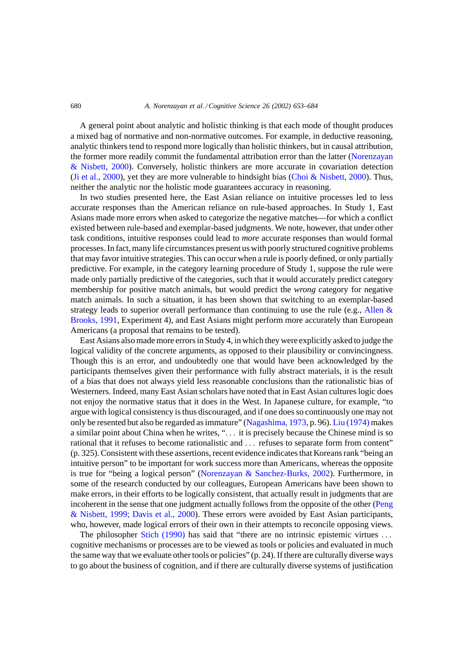A general point about analytic and holistic thinking is that each mode of thought produces a mixed bag of normative and non-normative outcomes. For example, in deductive reasoning, analytic thinkers tend to respond more logically than holistic thinkers, but in causal attribution, the former more readily commit the fundamental attribution error than the latter ([Norenzayan](#page-30-0) [& Nisbett, 2000\)](#page-30-0). Conversely, holistic thinkers are more accurate in covariation detection [\(Ji et al., 2000\),](#page-30-0) yet they are more vulnerable to hindsight bias ([Choi & Nisbett, 2000\).](#page-29-0) Thus, neither the analytic nor the holistic mode guarantees accuracy in reasoning.

In two studies presented here, the East Asian reliance on intuitive processes led to less accurate responses than the American reliance on rule-based approaches. In Study 1, East Asians made more errors when asked to categorize the negative matches—for which a conflict existed between rule-based and exemplar-based judgments. We note, however, that under other task conditions, intuitive responses could lead to *more* accurate responses than would formal processes. In fact, many life circumstances present us with poorly structured cognitive problems that may favor intuitive strategies. This can occur when a rule is poorly defined, or only partially predictive. For example, in the category learning procedure of Study 1, suppose the rule were made only partially predictive of the categories, such that it would accurately predict category membership for positive match animals, but would predict the *wrong* category for negative match animals. In such a situation, it has been shown that switching to an exemplar-based strategy leads to superior overall performance than continuing to use the rule (e.g., Allen  $\&$ [Brooks, 1991,](#page-29-0) Experiment 4), and East Asians might perform more accurately than European Americans (a proposal that remains to be tested).

East Asians also made more errors in Study 4, in which they were explicitly asked to judge the logical validity of the concrete arguments, as opposed to their plausibility or convincingness. Though this is an error, and undoubtedly one that would have been acknowledged by the participants themselves given their performance with fully abstract materials, it is the result of a bias that does not always yield less reasonable conclusions than the rationalistic bias of Westerners. Indeed, many East Asian scholars have noted that in East Asian cultures logic does not enjoy the normative status that it does in the West. In Japanese culture, for example, "to argue with logical consistency is thus discouraged, and if one does so continuously one may not only be resented but also be regarded as immature" ([Nagashima, 1973, p](#page-30-0). 96). [Liu \(1974\)](#page-30-0) makes a similar point about China when he writes, "... it is precisely because the Chinese mind is so rational that it refuses to become rationalistic and ... refuses to separate form from content" (p. 325). Consistent with these assertions, recent evidence indicates that Koreans rank "being an intuitive person" to be important for work success more than Americans, whereas the opposite is true for "being a logical person" [\(Norenzayan & Sanchez-Burks, 2002\)](#page-30-0). Furthermore, in some of the research conducted by our colleagues, European Americans have been shown to make errors, in their efforts to be logically consistent, that actually result in judgments that are incoherent in the sense that one judgment actually follows from the opposite of the other ([Peng](#page-30-0) [& Nisbett, 1999; Davis et al., 2000\)](#page-30-0). These errors were avoided by East Asian participants, who, however, made logical errors of their own in their attempts to reconcile opposing views.

The philosopher [Stich \(1990\)](#page-31-0) has said that "there are no intrinsic epistemic virtues ... cognitive mechanisms or processes are to be viewed as tools or policies and evaluated in much the same way that we evaluate other tools or policies" (p. 24). If there are culturally diverse ways to go about the business of cognition, and if there are culturally diverse systems of justification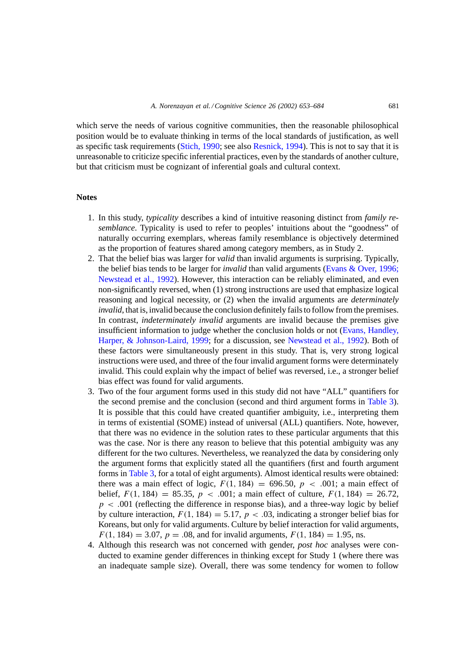<span id="page-28-0"></span>which serve the needs of various cognitive communities, then the reasonable philosophical position would be to evaluate thinking in terms of the local standards of justification, as well as specific task requirements [\(Stich, 1990;](#page-31-0) see also [Resnick, 1994\).](#page-31-0) This is not to say that it is unreasonable to criticize specific inferential practices, even by the standards of another culture, but that criticism must be cognizant of inferential goals and cultural context.

# **Notes**

- 1. In this study, *typicality* describes a kind of intuitive reasoning distinct from *family resemblance*. Typicality is used to refer to peoples' intuitions about the "goodness" of naturally occurring exemplars, whereas family resemblance is objectively determined as the proportion of features shared among category members, as in Study 2.
- 2. That the belief bias was larger for *valid* than invalid arguments is surprising. Typically, the belief bias tends to be larger for *invalid* than valid arguments ([Evans & Over, 1996;](#page-29-0) [Newstead et al., 1992\)](#page-29-0). However, this interaction can be reliably eliminated, and even non-significantly reversed, when (1) strong instructions are used that emphasize logical reasoning and logical necessity, or (2) when the invalid arguments are *determinately invalid*, that is, invalid because the conclusion definitely fails to follow from the premises. In contrast, *indeterminately invalid* arguments are invalid because the premises give insufficient information to judge whether the conclusion holds or not ([Evans, Handley,](#page-29-0) [Harper, & Johnson-Laird, 1999;](#page-29-0) for a discussion, see [Newstead et al., 1992\)](#page-30-0). Both of these factors were simultaneously present in this study. That is, very strong logical instructions were used, and three of the four invalid argument forms were determinately invalid. This could explain why the impact of belief was reversed, i.e., a stronger belief bias effect was found for valid arguments.
- 3. Two of the four argument forms used in this study did not have "ALL" quantifiers for the second premise and the conclusion (second and third argument forms in [Table 3\).](#page-21-0) It is possible that this could have created quantifier ambiguity, i.e., interpreting them in terms of existential (SOME) instead of universal (ALL) quantifiers. Note, however, that there was no evidence in the solution rates to these particular arguments that this was the case. Nor is there any reason to believe that this potential ambiguity was any different for the two cultures. Nevertheless, we reanalyzed the data by considering only the argument forms that explicitly stated all the quantifiers (first and fourth argument forms in [Table 3, f](#page-21-0)or a total of eight arguments). Almost identical results were obtained: there was a main effect of logic,  $F(1, 184) = 696.50$ ,  $p < .001$ ; a main effect of belief,  $F(1, 184) = 85.35$ ,  $p < .001$ ; a main effect of culture,  $F(1, 184) = 26.72$ ,  $p < .001$  (reflecting the difference in response bias), and a three-way logic by belief by culture interaction,  $F(1, 184) = 5.17$ ,  $p < .03$ , indicating a stronger belief bias for Koreans, but only for valid arguments. Culture by belief interaction for valid arguments,  $F(1, 184) = 3.07$ ,  $p = .08$ , and for invalid arguments,  $F(1, 184) = 1.95$ , ns.
- 4. Although this research was not concerned with gender, *post hoc* analyses were conducted to examine gender differences in thinking except for Study 1 (where there was an inadequate sample size). Overall, there was some tendency for women to follow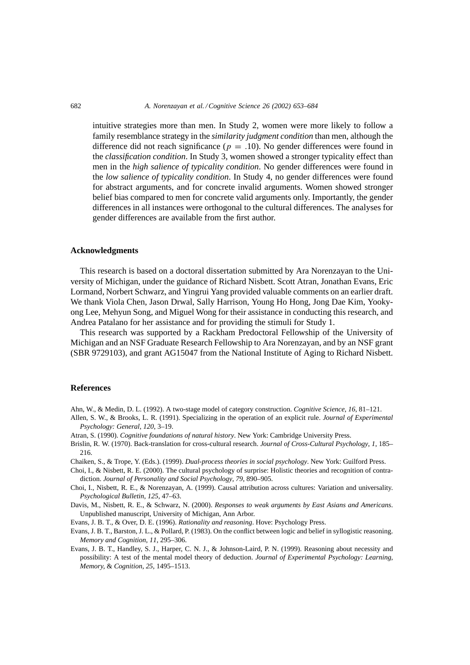intuitive strategies more than men. In Study 2, women were more likely to follow a family resemblance strategy in the *similarity judgment condition* than men, although the difference did not reach significance ( $p = .10$ ). No gender differences were found in the *classification condition*. In Study 3, women showed a stronger typicality effect than men in the *high salience of typicality condition*. No gender differences were found in the *low salience of typicality condition*. In Study 4, no gender differences were found for abstract arguments, and for concrete invalid arguments. Women showed stronger belief bias compared to men for concrete valid arguments only. Importantly, the gender differences in all instances were orthogonal to the cultural differences. The analyses for gender differences are available from the first author.

## **Acknowledgments**

This research is based on a doctoral dissertation submitted by Ara Norenzayan to the University of Michigan, under the guidance of Richard Nisbett. Scott Atran, Jonathan Evans, Eric Lormand, Norbert Schwarz, and Yingrui Yang provided valuable comments on an earlier draft. We thank Viola Chen, Jason Drwal, Sally Harrison, Young Ho Hong, Jong Dae Kim, Yookyong Lee, Mehyun Song, and Miguel Wong for their assistance in conducting this research, and Andrea Patalano for her assistance and for providing the stimuli for Study 1.

This research was supported by a Rackham Predoctoral Fellowship of the University of Michigan and an NSF Graduate Research Fellowship to Ara Norenzayan, and by an NSF grant (SBR 9729103), and grant AG15047 from the National Institute of Aging to Richard Nisbett.

#### **References**

- Ahn, W., & Medin, D. L. (1992). A two-stage model of category construction. *Cognitive Science*, *16*, 81–121.
- Allen, S. W., & Brooks, L. R. (1991). Specializing in the operation of an explicit rule. *Journal of Experimental Psychology: General*, *120*, 3–19.
- Atran, S. (1990). *Cognitive foundations of natural history*. New York: Cambridge University Press.
- Brislin, R. W. (1970). Back-translation for cross-cultural research. *Journal of Cross-Cultural Psychology*, *1*, 185– 216.
- Chaiken, S., & Trope, Y. (Eds.). (1999). *Dual-process theories in social psychology*. New York: Guilford Press.
- Choi, I., & Nisbett, R. E. (2000). The cultural psychology of surprise: Holistic theories and recognition of contradiction. *Journal of Personality and Social Psychology*, *79*, 890–905.
- Choi, I., Nisbett, R. E., & Norenzayan, A. (1999). Causal attribution across cultures: Variation and universality. *Psychological Bulletin*, *125*, 47–63.
- Davis, M., Nisbett, R. E., & Schwarz, N. (2000). *Responses to weak arguments by East Asians and Americans*. Unpublished manuscript, University of Michigan, Ann Arbor.
- Evans, J. B. T., & Over, D. E. (1996). *Rationality and reasoning*. Hove: Psychology Press.
- Evans, J. B. T., Barston, J. L., & Pollard, P. (1983). On the conflict between logic and belief in syllogistic reasoning. *Memory and Cognition*, *11*, 295–306.
- Evans, J. B. T., Handley, S. J., Harper, C. N. J., & Johnson-Laird, P. N. (1999). Reasoning about necessity and possibility: A test of the mental model theory of deduction. *Journal of Experimental Psychology: Learning, Memory,* & *Cognition*, *25*, 1495–1513.

<span id="page-29-0"></span>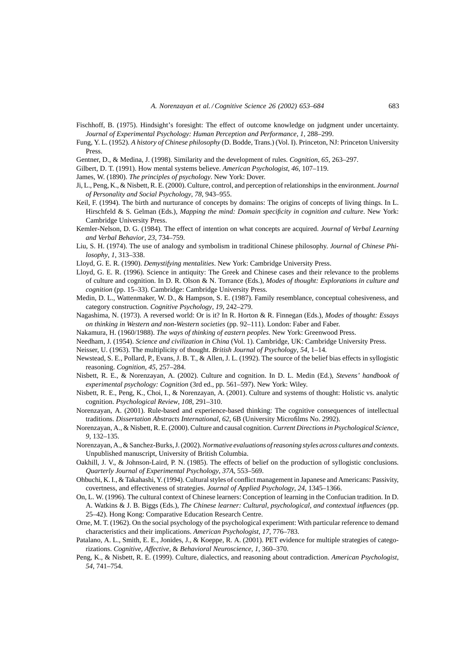- <span id="page-30-0"></span>Fischhoff, B. (1975). Hindsight's foresight: The effect of outcome knowledge on judgment under uncertainty. *Journal of Experimental Psychology: Human Perception and Performance*, *1*, 288–299.
- Fung, Y. L. (1952). *A history of Chinese philosophy* (D. Bodde, Trans.) (Vol. I). Princeton, NJ: Princeton University Press.
- Gentner, D., & Medina, J. (1998). Similarity and the development of rules. *Cognition*, *65*, 263–297.
- Gilbert, D. T. (1991). How mental systems believe. *American Psychologist*, *46*, 107–119.

James, W. (1890). *The principles of psychology*. New York: Dover.

- Ji, L., Peng, K., & Nisbett, R. E. (2000). Culture, control, and perception of relationships in the environment. *Journal of Personality and Social Psychology*, *78*, 943–955.
- Keil, F. (1994). The birth and nurturance of concepts by domains: The origins of concepts of living things. In L. Hirschfeld & S. Gelman (Eds.), *Mapping the mind: Domain specificity in cognition and culture*. New York: Cambridge University Press.
- Kemler-Nelson, D. G. (1984). The effect of intention on what concepts are acquired. *Journal of Verbal Learning and Verbal Behavior*, *23*, 734–759.
- Liu, S. H. (1974). The use of analogy and symbolism in traditional Chinese philosophy. *Journal of Chinese Philosophy*, *1*, 313–338.
- Lloyd, G. E. R. (1990). *Demystifying mentalities*. New York: Cambridge University Press.
- Lloyd, G. E. R. (1996). Science in antiquity: The Greek and Chinese cases and their relevance to the problems of culture and cognition. In D. R. Olson & N. Torrance (Eds.), *Modes of thought: Explorations in culture and cognition* (pp. 15–33). Cambridge: Cambridge University Press.
- Medin, D. L., Wattenmaker, W. D., & Hampson, S. E. (1987). Family resemblance, conceptual cohesiveness, and category construction. *Cognitive Psychology*, *19*, 242–279.
- Nagashima, N. (1973). A reversed world: Or is it? In R. Horton & R. Finnegan (Eds.), *Modes of thought: Essays on thinking in Western and non-Western societies* (pp. 92–111). London: Faber and Faber.
- Nakamura, H. (1960/1988). *The ways of thinking of eastern peoples*. New York: Greenwood Press.
- Needham, J. (1954). *Science and civilization in China* (Vol. 1). Cambridge, UK: Cambridge University Press.
- Neisser, U. (1963). The multiplicity of thought. *British Journal of Psychology*, *54*, 1–14.
- Newstead, S. E., Pollard, P., Evans, J. B. T., & Allen, J. L. (1992). The source of the belief bias effects in syllogistic reasoning. *Cognition*, *45*, 257–284.
- Nisbett, R. E., & Norenzayan, A. (2002). Culture and cognition. In D. L. Medin (Ed.), *Stevens' handbook of experimental psychology: Cognition* (3rd ed., pp. 561–597). New York: Wiley.
- Nisbett, R. E., Peng, K., Choi, I., & Norenzayan, A. (2001). Culture and systems of thought: Holistic vs. analytic cognition. *Psychological Review*, *108*, 291–310.
- Norenzayan, A. (2001). Rule-based and experience-based thinking: The cognitive consequences of intellectual traditions. *Dissertation Abstracts International*, *62*, 6B (University Microfilms No. 2992).
- Norenzayan, A., & Nisbett, R. E. (2000). Culture and causal cognition. *Current Directions in Psychological Science*, *9*, 132–135.
- Norenzayan, A., & Sanchez-Burks, J. (2002).*Normative evaluations of reasoning styles across cultures and contexts*. Unpublished manuscript, University of British Columbia.
- Oakhill, J. V., & Johnson-Laird, P. N. (1985). The effects of belief on the production of syllogistic conclusions. *Quarterly Journal of Experimental Psychology*, *37A*, 553–569.
- Ohbuchi, K. I., & Takahashi, Y. (1994). Cultural styles of conflict management in Japanese and Americans: Passivity, covertness, and effectiveness of strategies. *Journal of Applied Psychology*, *24*, 1345–1366.
- On, L. W. (1996). The cultural context of Chinese learners: Conception of learning in the Confucian tradition. In D. A. Watkins & J. B. Biggs (Eds.), *The Chinese learner: Cultural, psychological, and contextual influences* (pp. 25–42). Hong Kong: Comparative Education Research Centre.
- Orne, M. T. (1962). On the social psychology of the psychological experiment: With particular reference to demand characteristics and their implications. *American Psychologist*, *17*, 776–783.
- Patalano, A. L., Smith, E. E., Jonides, J., & Koeppe, R. A. (2001). PET evidence for multiple strategies of categorizations. *Cognitive, Affective,* & *Behavioral Neuroscience*, *1*, 360–370.
- Peng, K., & Nisbett, R. E. (1999). Culture, dialectics, and reasoning about contradiction. *American Psychologist*, *54*, 741–754.